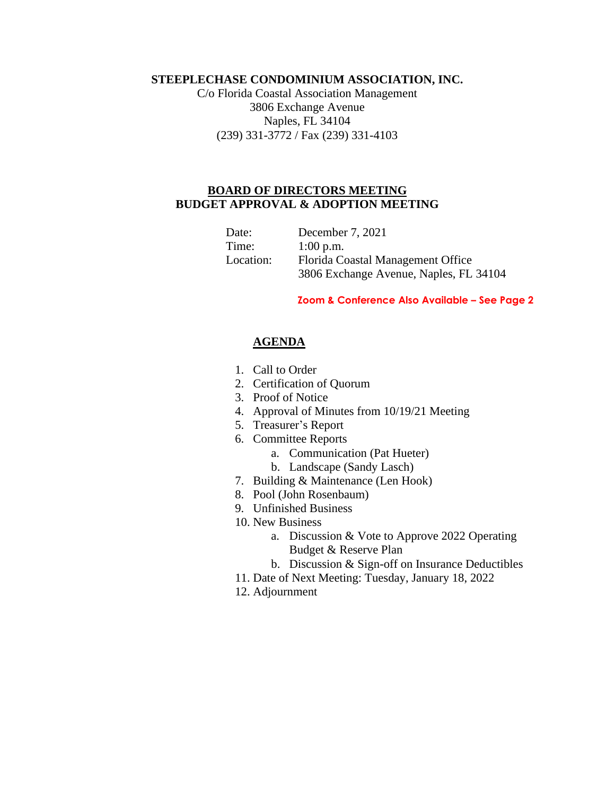## **STEEPLECHASE CONDOMINIUM ASSOCIATION, INC.**

C/o Florida Coastal Association Management 3806 Exchange Avenue Naples, FL 34104 (239) 331-3772 / Fax (239) 331-4103

## **BOARD OF DIRECTORS MEETING BUDGET APPROVAL & ADOPTION MEETING**

| Date:     | December 7, 2021                       |
|-----------|----------------------------------------|
| Time:     | $1:00$ p.m.                            |
| Location: | Florida Coastal Management Office      |
|           | 3806 Exchange Avenue, Naples, FL 34104 |

## **Zoom & Conference Also Available – See Page 2**

## **AGENDA**

- 1. Call to Order
- 2. Certification of Quorum
- 3. Proof of Notice
- 4. Approval of Minutes from 10/19/21 Meeting
- 5. Treasurer's Report
- 6. Committee Reports
	- a. Communication (Pat Hueter)
	- b. Landscape (Sandy Lasch)
- 7. Building & Maintenance (Len Hook)
- 8. Pool (John Rosenbaum)
- 9. Unfinished Business
- 10. New Business
	- a. Discussion & Vote to Approve 2022 Operating Budget & Reserve Plan
	- b. Discussion & Sign-off on Insurance Deductibles
- 11. Date of Next Meeting: Tuesday, January 18, 2022
- 12. Adjournment